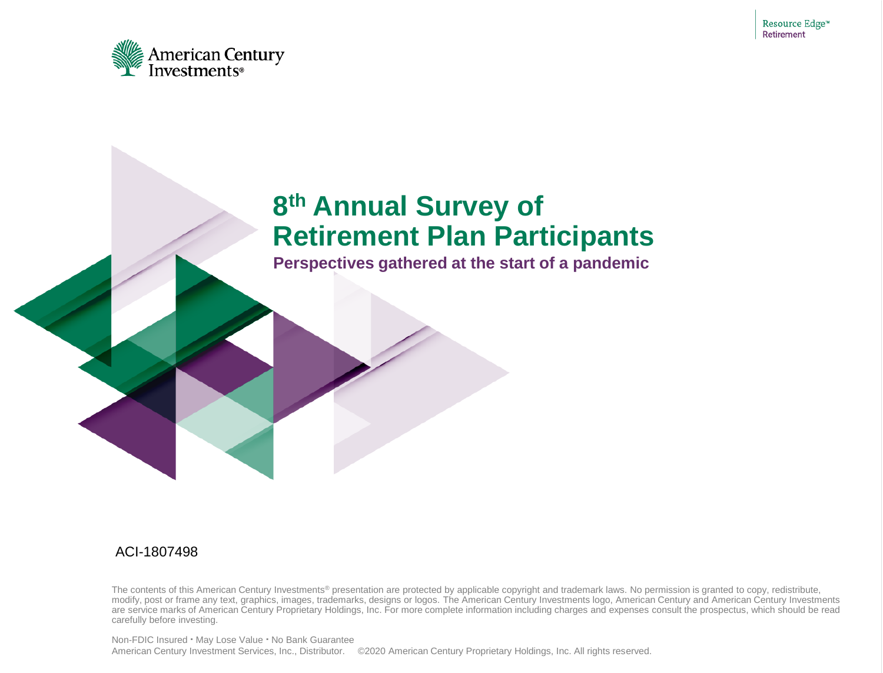

#### **8 th Annual Survey of Retirement Plan Participants**

**Perspectives gathered at the start of a pandemic**

#### ACI-1807498

The contents of this American Century Investments<sup>®</sup> presentation are protected by applicable copyright and trademark laws. No permission is granted to copy, redistribute, modify, post or frame any text, graphics, images, trademarks, designs or logos. The American Century Investments logo, American Century and American Century Investments are service marks of American Century Proprietary Holdings, Inc. For more complete information including charges and expenses consult the prospectus, which should be read carefully before investing.

Non-FDIC Insured ▪ May Lose Value ▪ No Bank Guarantee American Century Investment Services, Inc., Distributor. ©2020 American Century Proprietary Holdings, Inc. All rights reserved.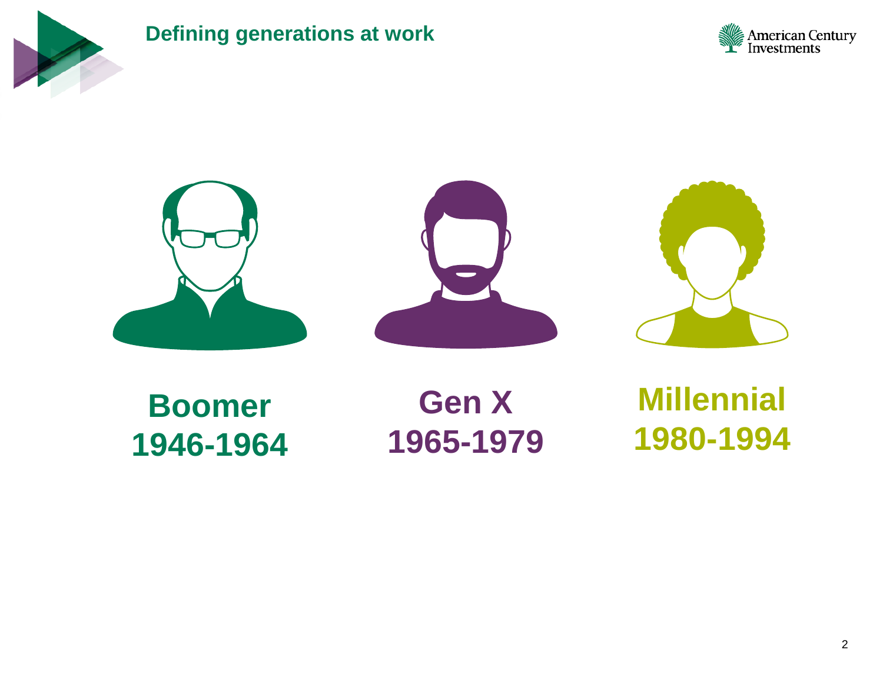

#### **Defining generations at work**









**Boomer 1946-1964**

**Gen X 1965-1979**

**Millennial 1980-1994**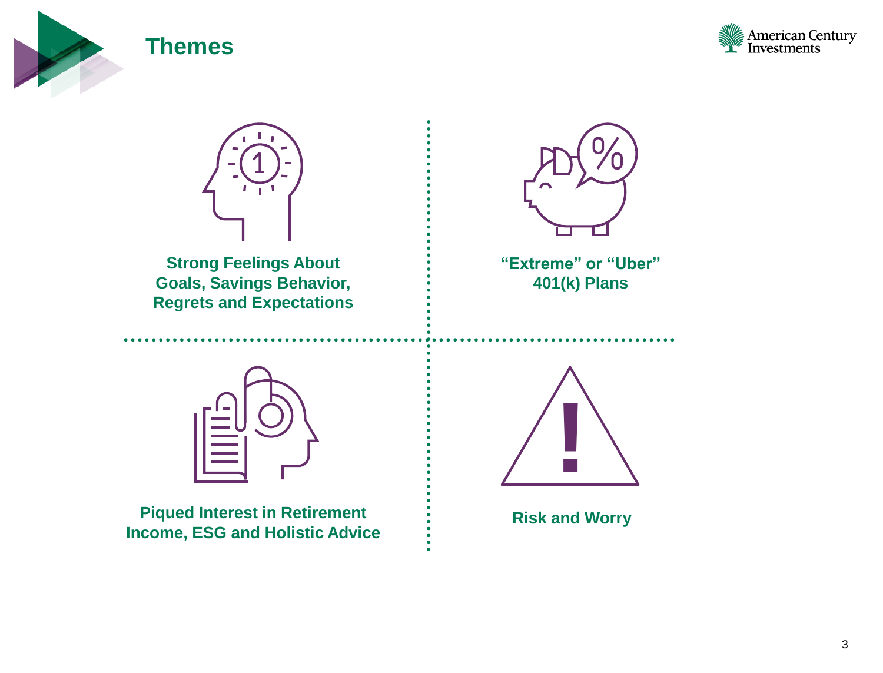

#### **Themes**





**Strong Feelings About Goals, Savings Behavior, Regrets and Expectations**



**"Extreme" or "Uber" 401(k) Plans** 



**Piqued Interest in Retirement Income, ESG and Holistic Advice**



**Risk and Worry**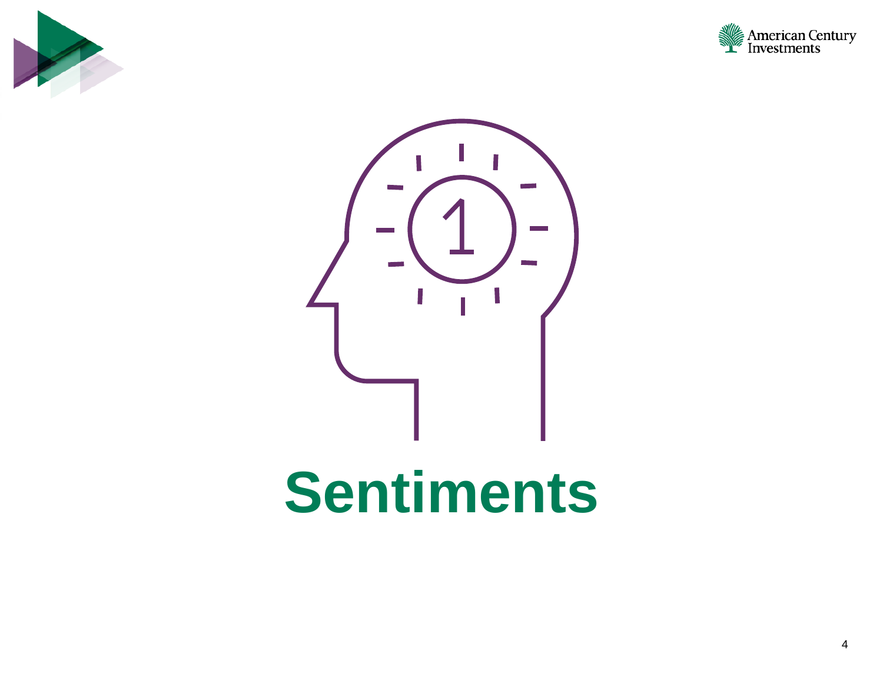





## **Sentiments**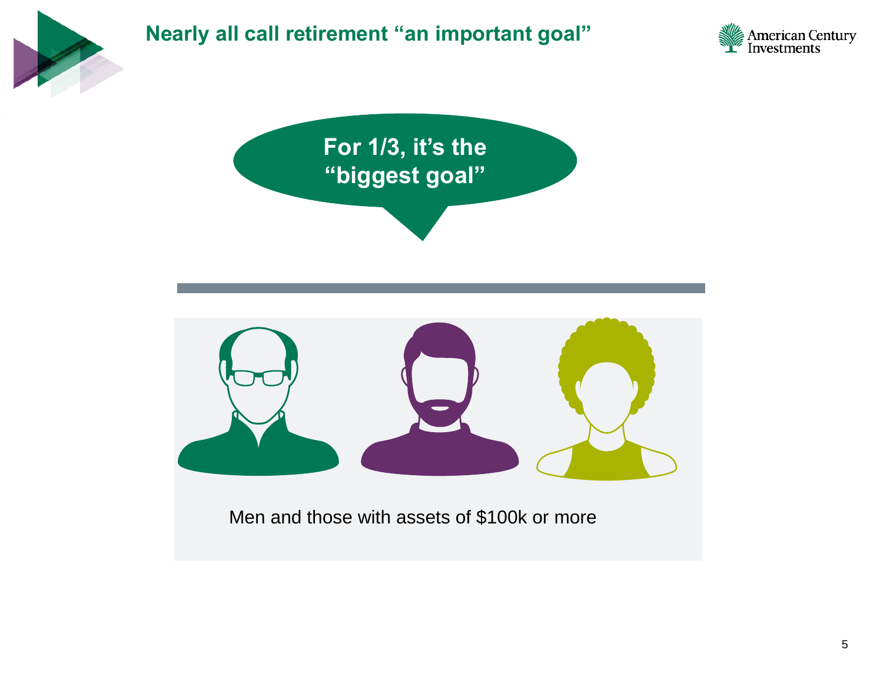



Men and those with assets of \$100k or more

American Century<br>Finvestments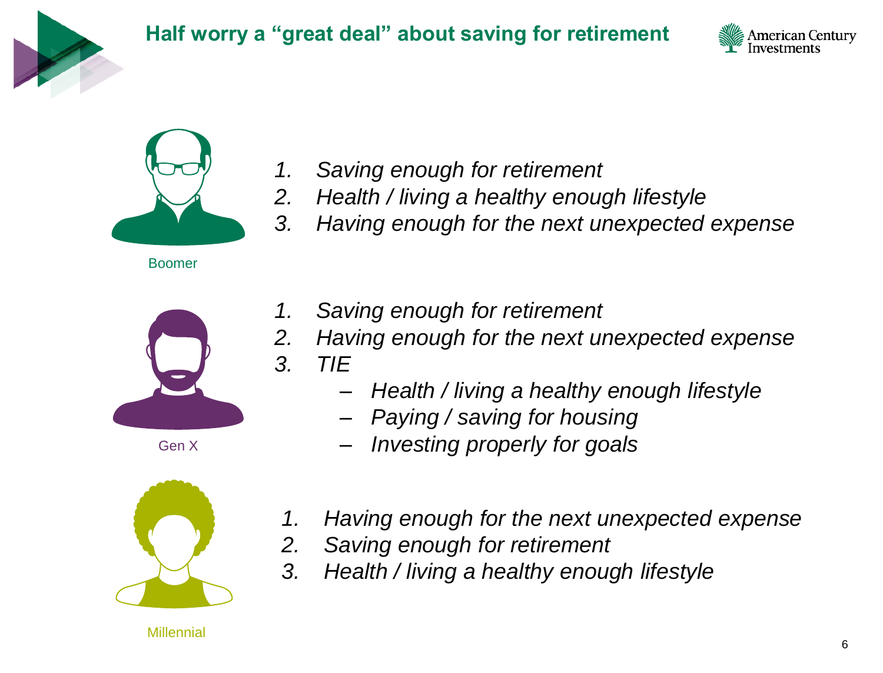





Boomer



Gen X



- *1. Saving enough for retirement*
- *2. Health / living a healthy enough lifestyle*
- *3. Having enough for the next unexpected expense*
- *1. Saving enough for retirement*
- *2. Having enough for the next unexpected expense*
- *3. TIE*
	- *Health / living a healthy enough lifestyle*
	- *Paying / saving for housing*
	- *Investing properly for goals*
- *1. Having enough for the next unexpected expense*
- *2. Saving enough for retirement*
- *3. Health / living a healthy enough lifestyle*

**Millennial**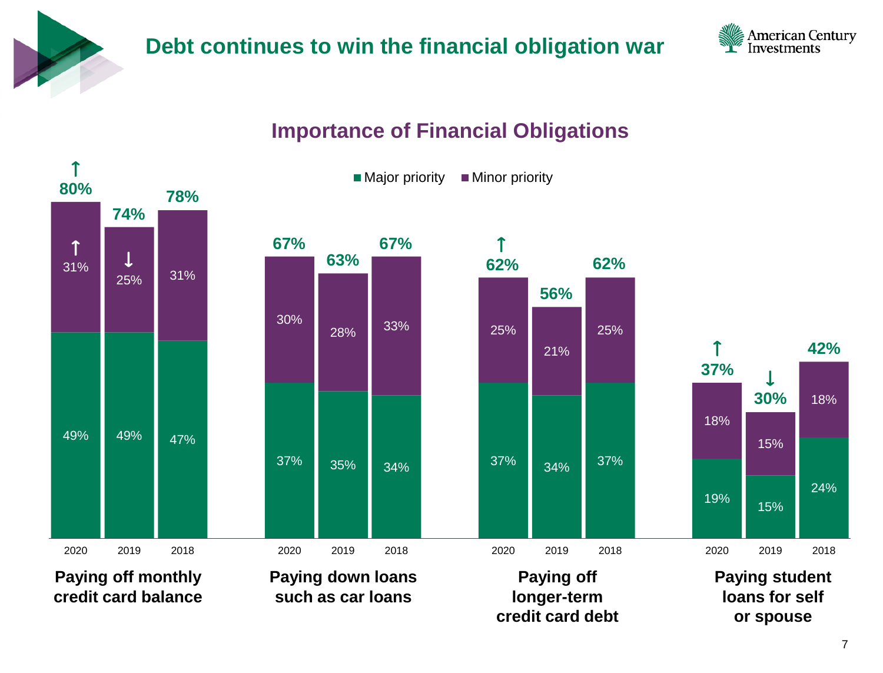



#### **Importance of Financial Obligations**

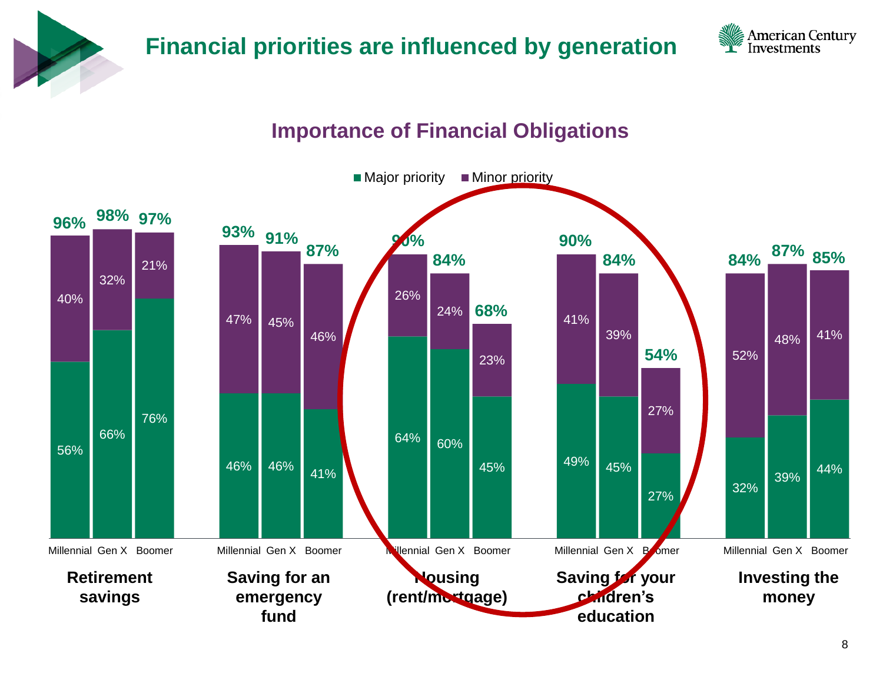

#### **Financial priorities are influenced by generation**



#### **Importance of Financial Obligations**

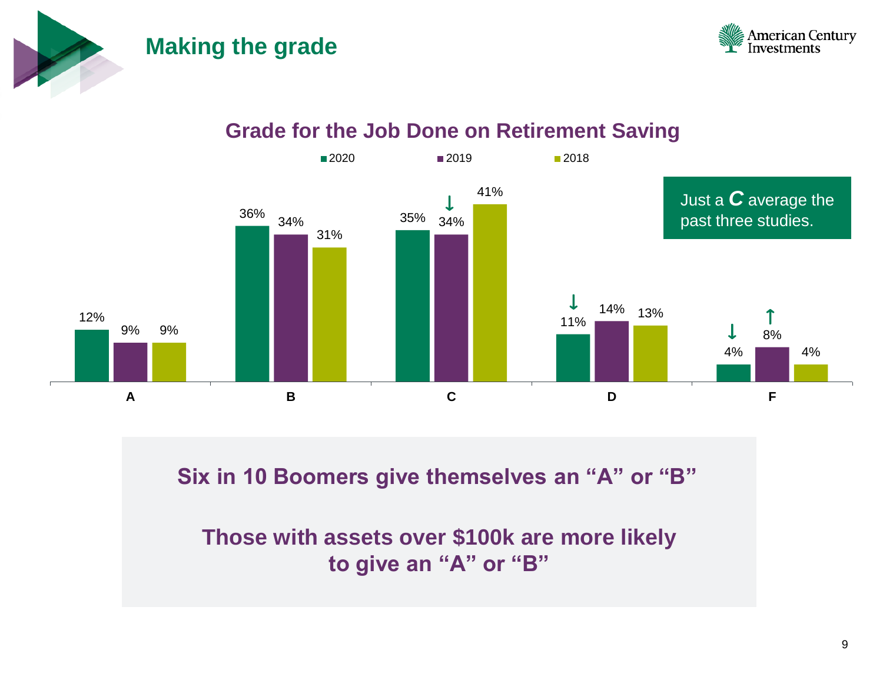#### **Making the grade**



#### **Grade for the Job Done on Retirement Saving**



**Six in 10 Boomers give themselves an "A" or "B"**

**Those with assets over \$100k are more likely to give an "A" or "B"**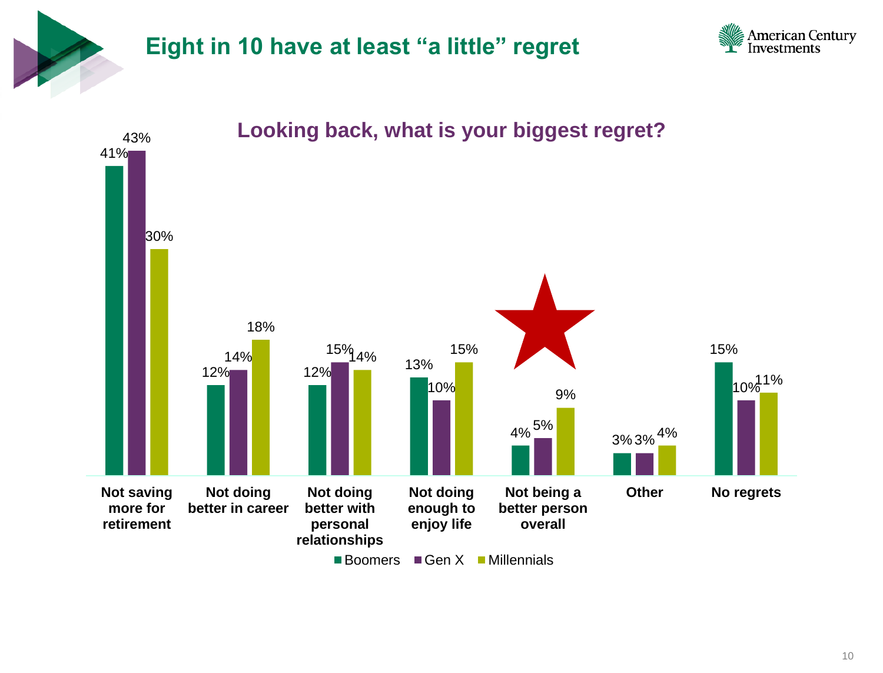

#### **Eight in 10 have at least "a little" regret**





 $\blacksquare$  Boomers  $\blacksquare$  Gen X  $\blacksquare$  Millennials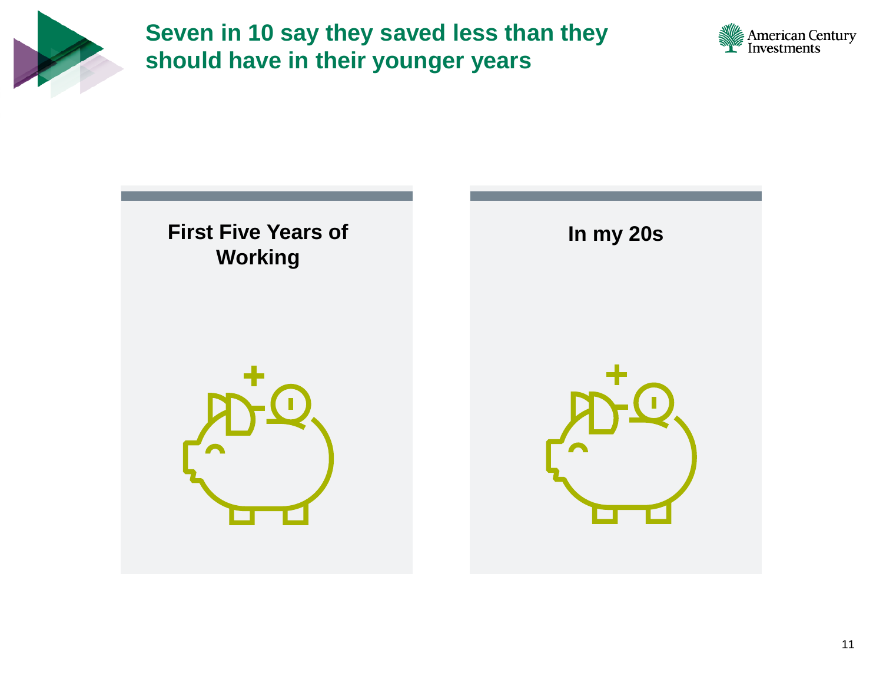

**Seven in 10 say they saved less than they should have in their younger years**



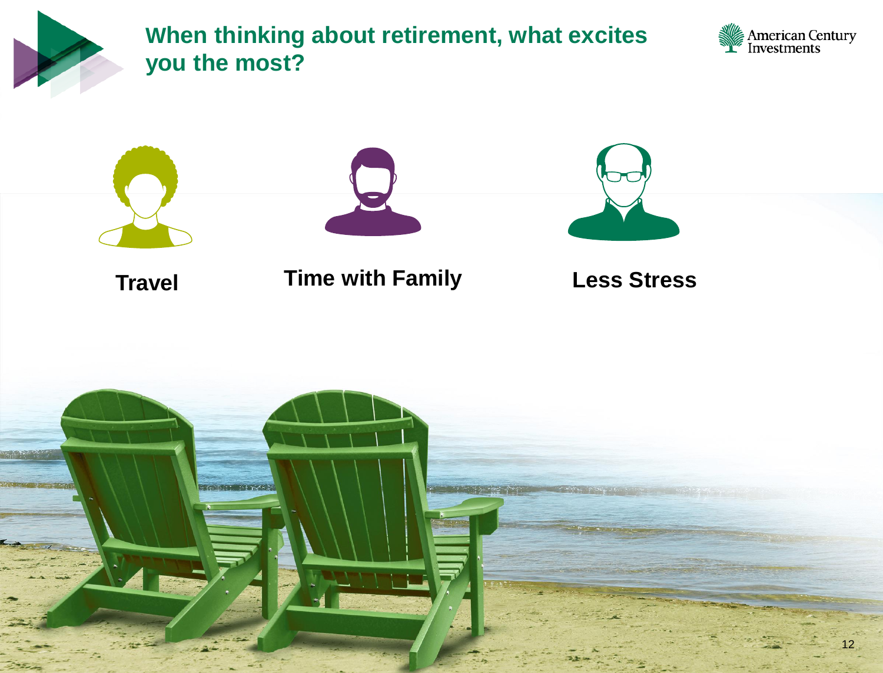

**When thinking about retirement, what excites you the most?** 



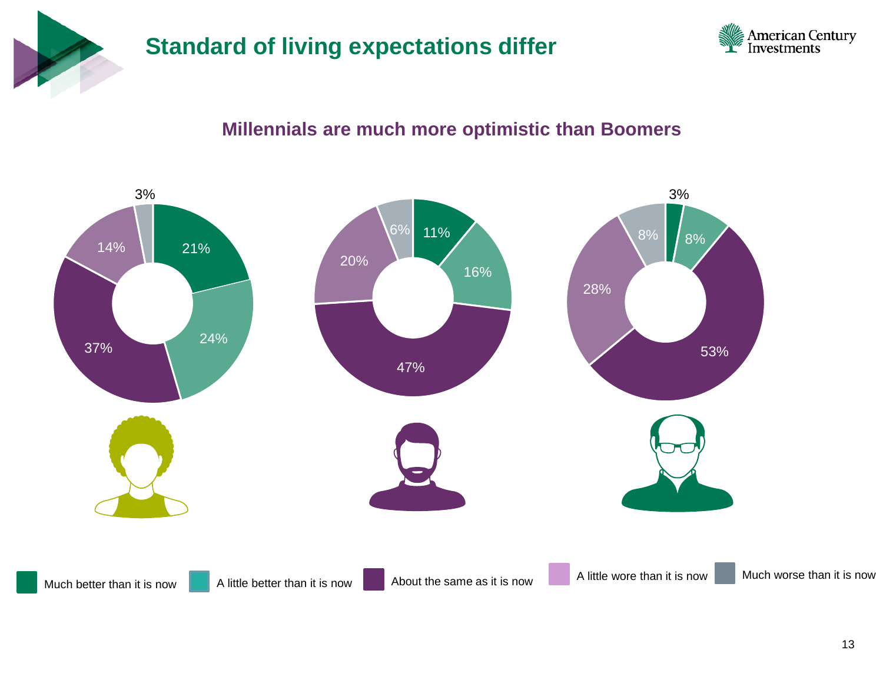

#### **Standard of living expectations differ**



#### **Millennials are much more optimistic than Boomers**

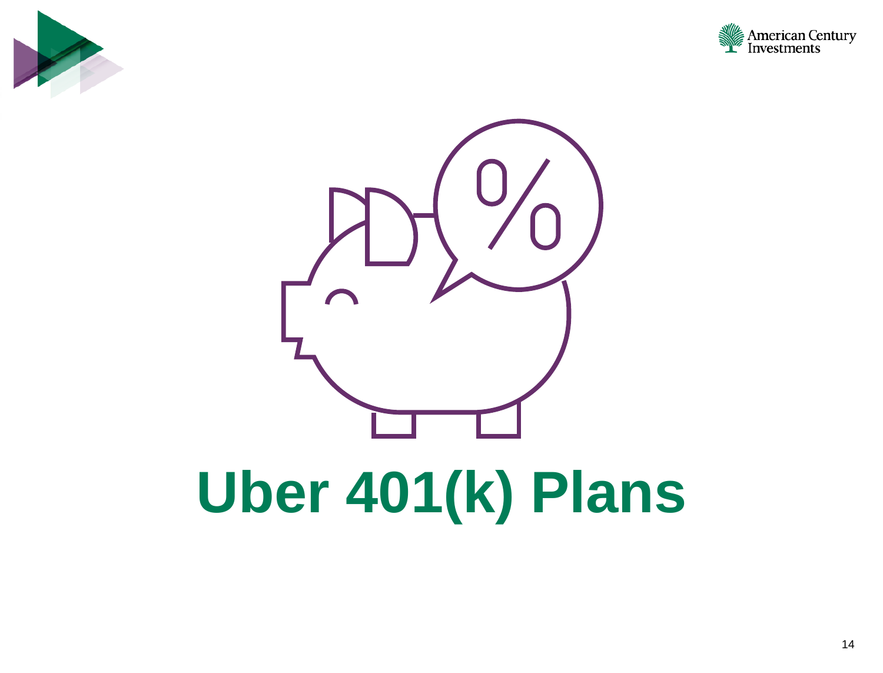



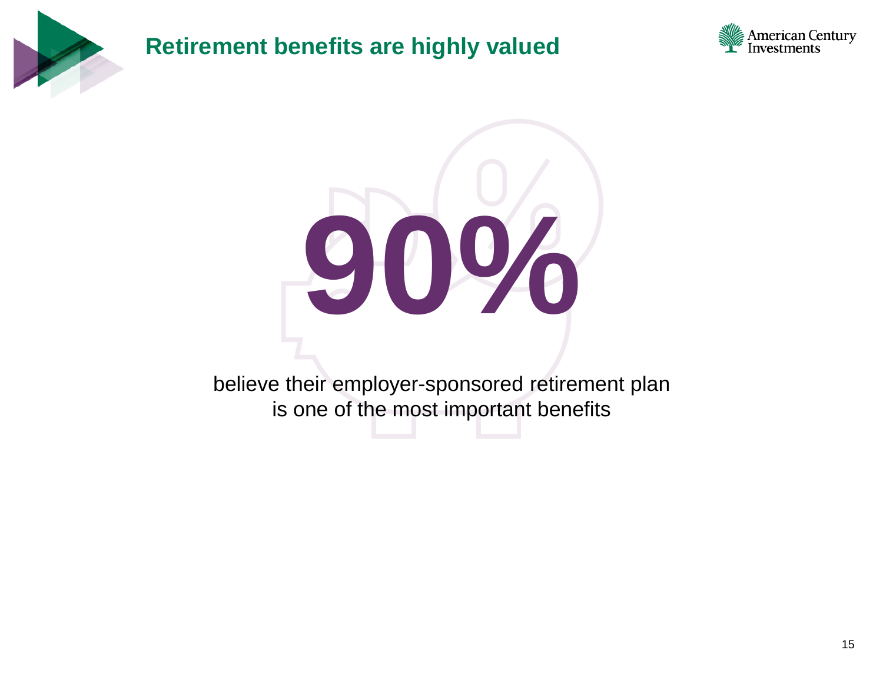

#### **Retirement benefits are highly valued**





believe their employer-sponsored retirement plan is one of the most important benefits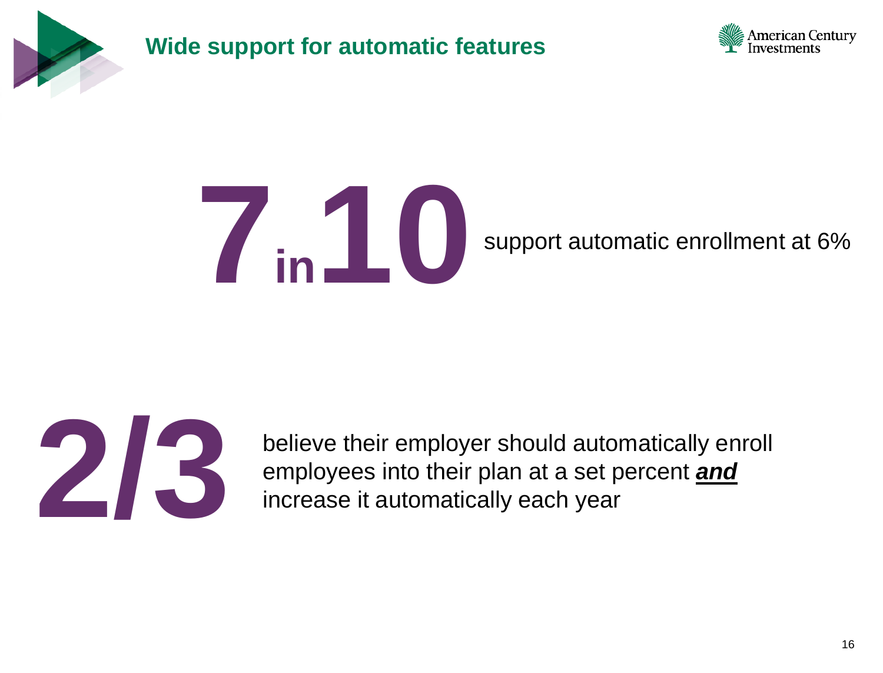

**Wide support for automatic features**



## **10** support automatic enrollment at 6%



**2/3** believe their employer should automatically enroll employees into their plan at a set percent **and** increase it automatically each year employees into their plan at a set percent *and* increase it automatically each year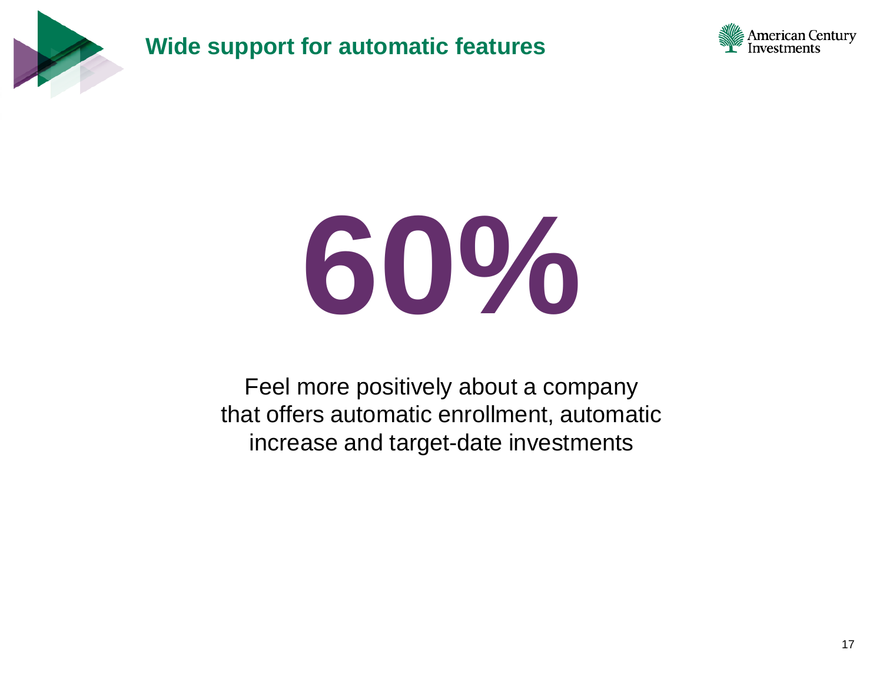

**Wide support for automatic features**



# **60%**

Feel more positively about a company that offers automatic enrollment, automatic increase and target-date investments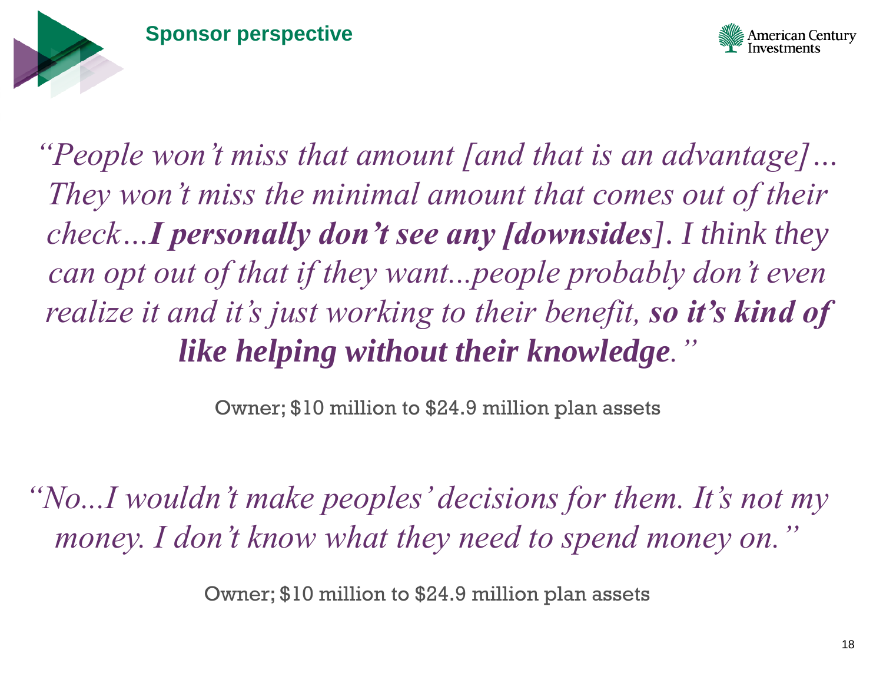



*"People won't miss that amount [and that is an advantage]… They won't miss the minimal amount that comes out of their check…I personally don't see any [downsides]. I think they can opt out of that if they want...people probably don't even realize it and it's just working to their benefit, so it's kind of like helping without their knowledge."* 

Owner; \$10 million to \$24.9 million plan assets

*"No...I wouldn't make peoples' decisions for them. It's not my money. I don't know what they need to spend money on."* 

Owner; \$10 million to \$24.9 million plan assets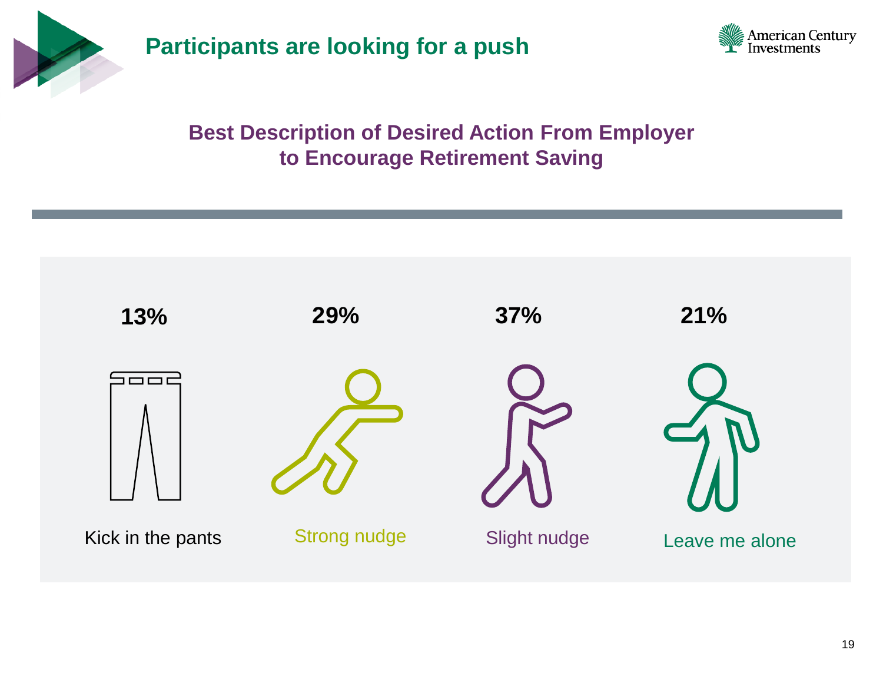

**Participants are looking for a push**



#### **Best Description of Desired Action From Employer to Encourage Retirement Saving**

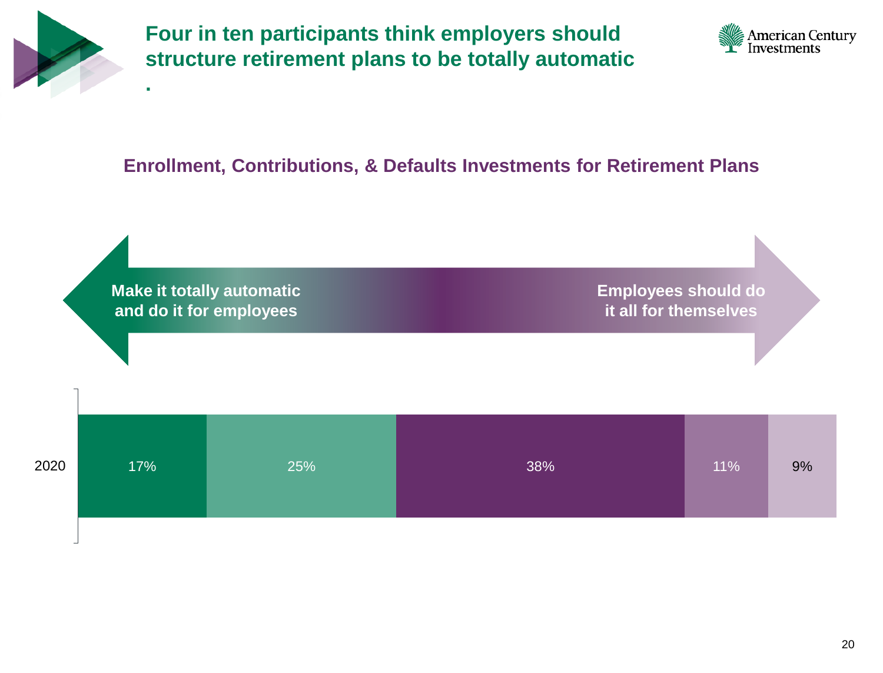

**.**

**Four in ten participants think employers should structure retirement plans to be totally automatic** 



#### **Enrollment, Contributions, & Defaults Investments for Retirement Plans**

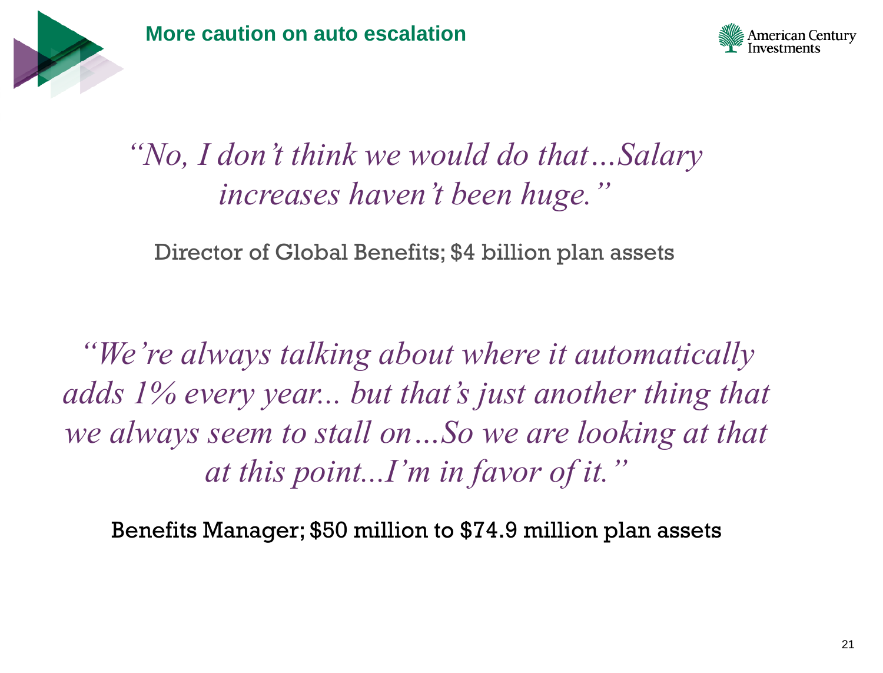



### *"No, I don't think we would do that…Salary increases haven't been huge."*

Director of Global Benefits; \$4 billion plan assets

*"We're always talking about where it automatically adds 1% every year... but that's just another thing that we always seem to stall on…So we are looking at that at this point...I'm in favor of it."* 

Benefits Manager; \$50 million to \$74.9 million plan assets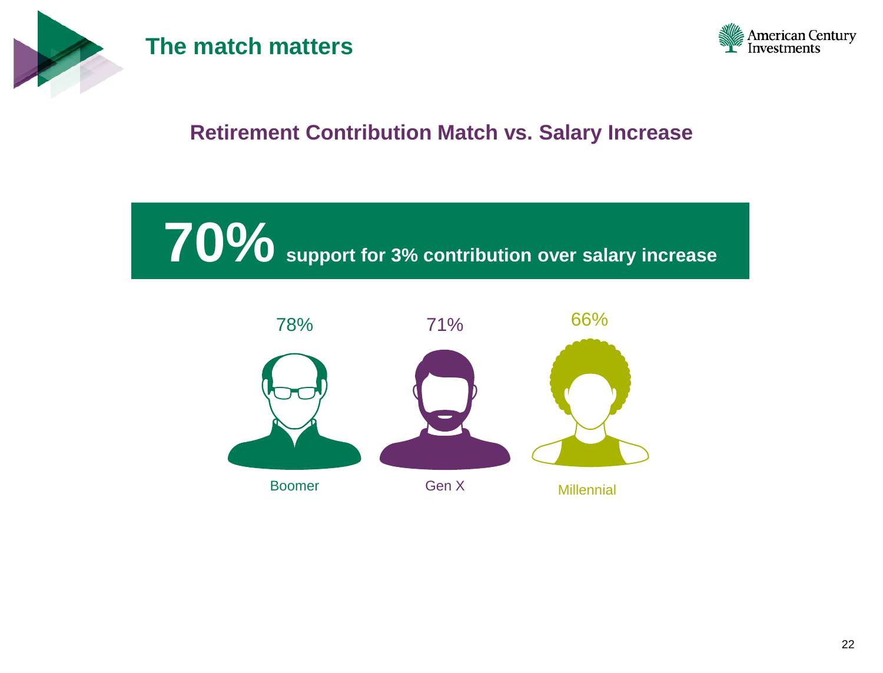

#### **The match matters**



#### **Retirement Contribution Match vs. Salary Increase**

**70% support for 3% contribution over salary increase**

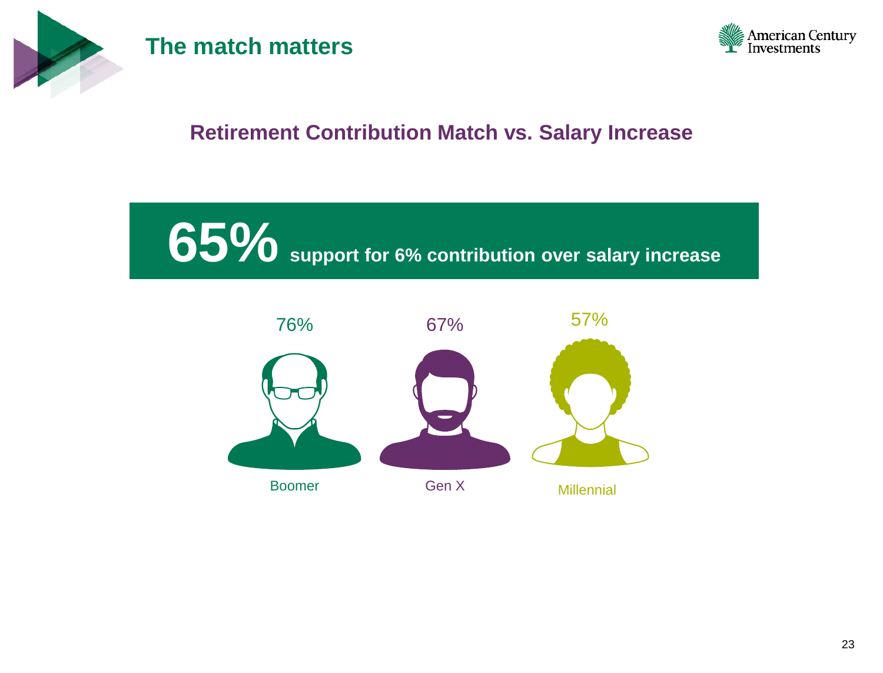

#### **The match matters**



#### **Retirement Contribution Match vs. Salary Increase**

**65% support for 6% contribution over salary increase** 

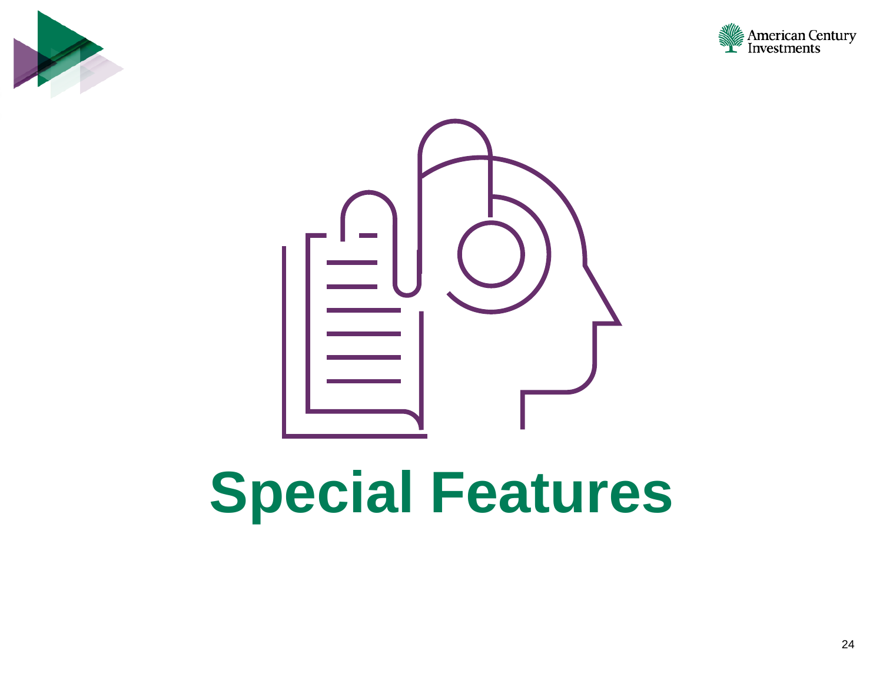





## **Special Features**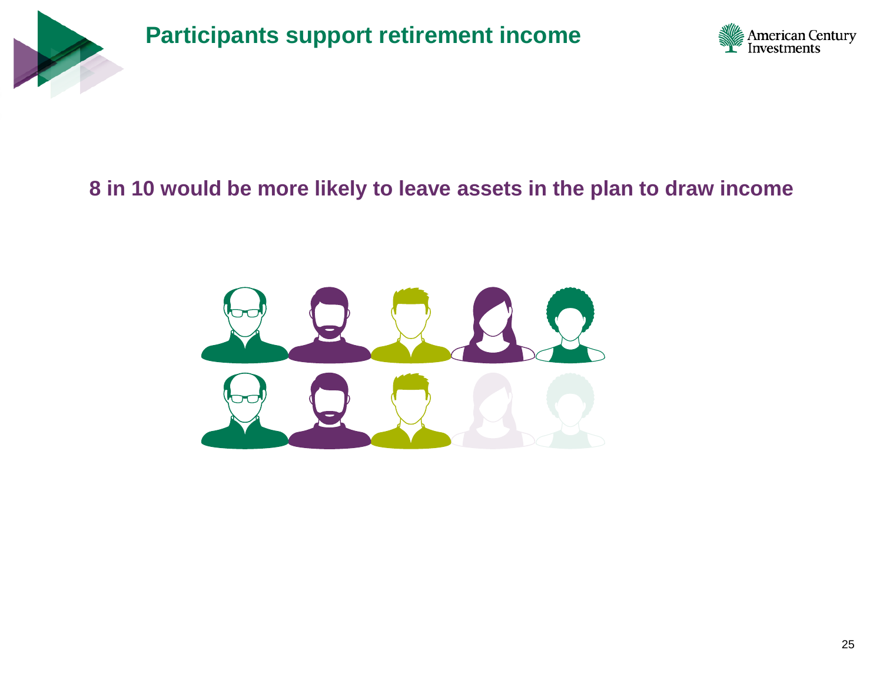

**Participants support retirement income** 



#### **8 in 10 would be more likely to leave assets in the plan to draw income**

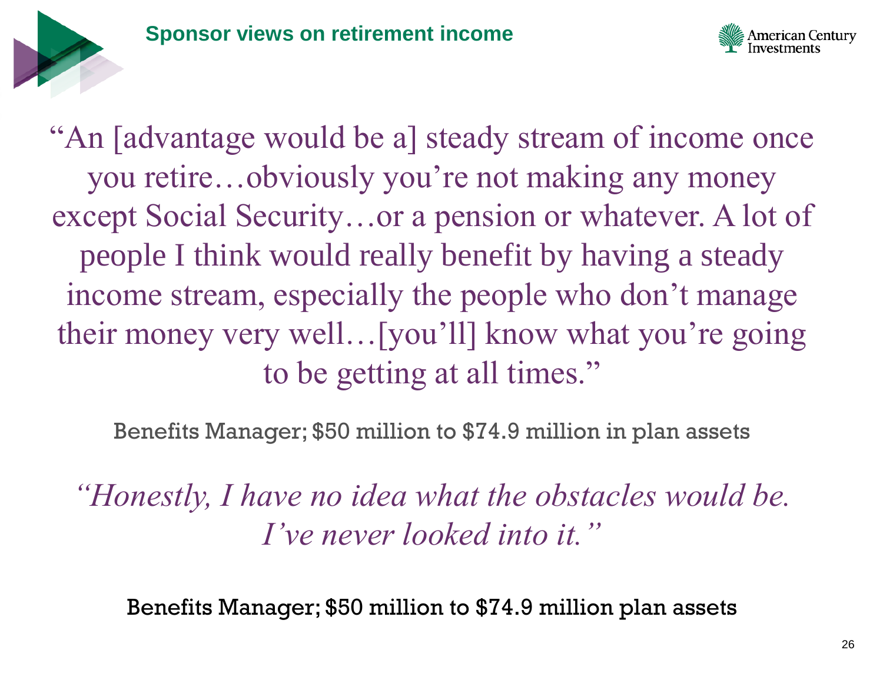



"An [advantage would be a] steady stream of income once you retire…obviously you're not making any money except Social Security…or a pension or whatever. A lot of people I think would really benefit by having a steady income stream, especially the people who don't manage their money very well…[you'll] know what you're going to be getting at all times."

Benefits Manager; \$50 million to \$74.9 million in plan assets

*"Honestly, I have no idea what the obstacles would be. I've never looked into it."* 

Benefits Manager; \$50 million to \$74.9 million plan assets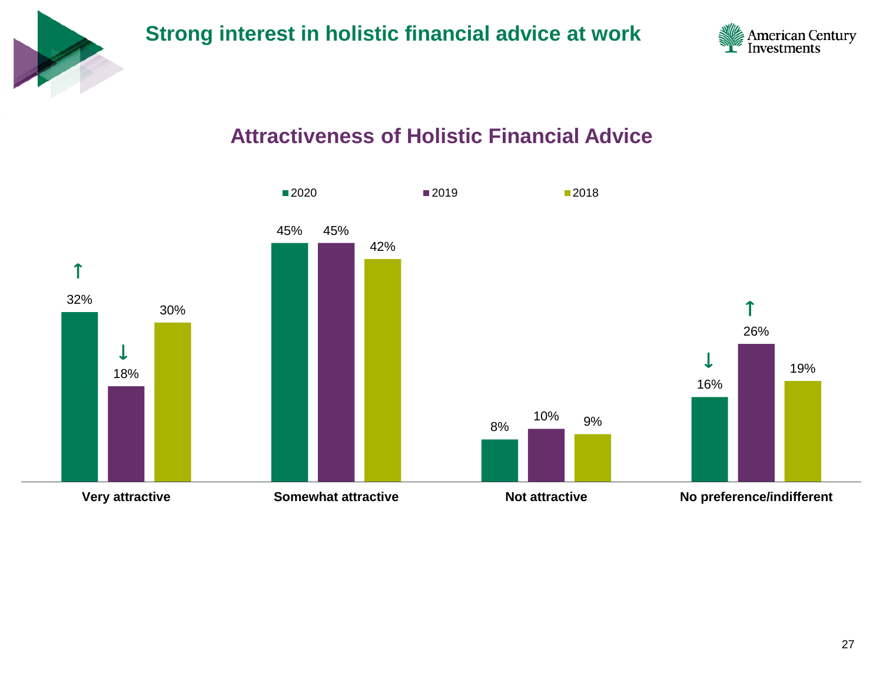



#### **Attractiveness of Holistic Financial Advice**

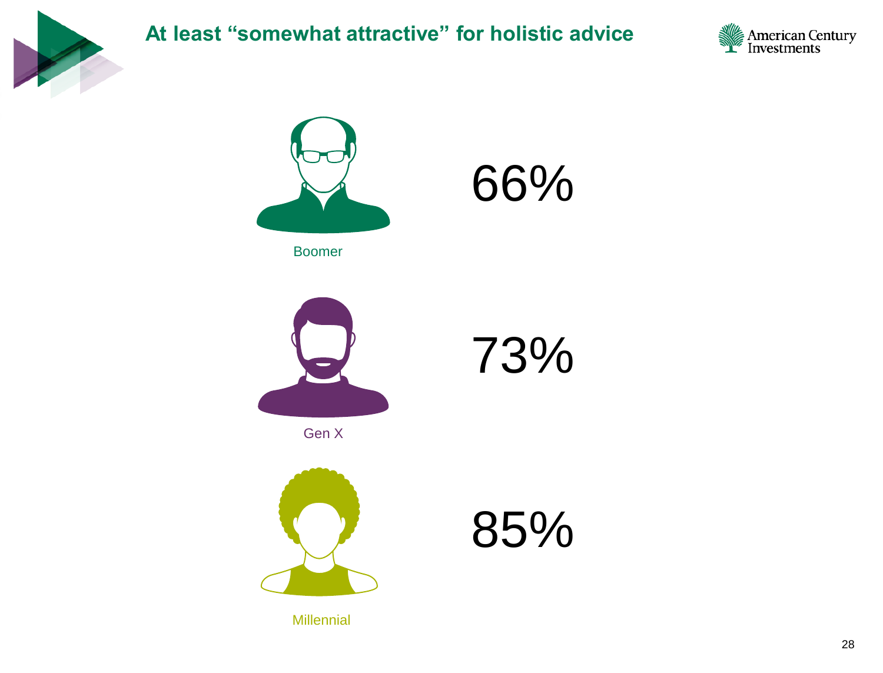

#### **At least "somewhat attractive" for holistic advice**









Gen X



85%

73%

**Millennial** 

28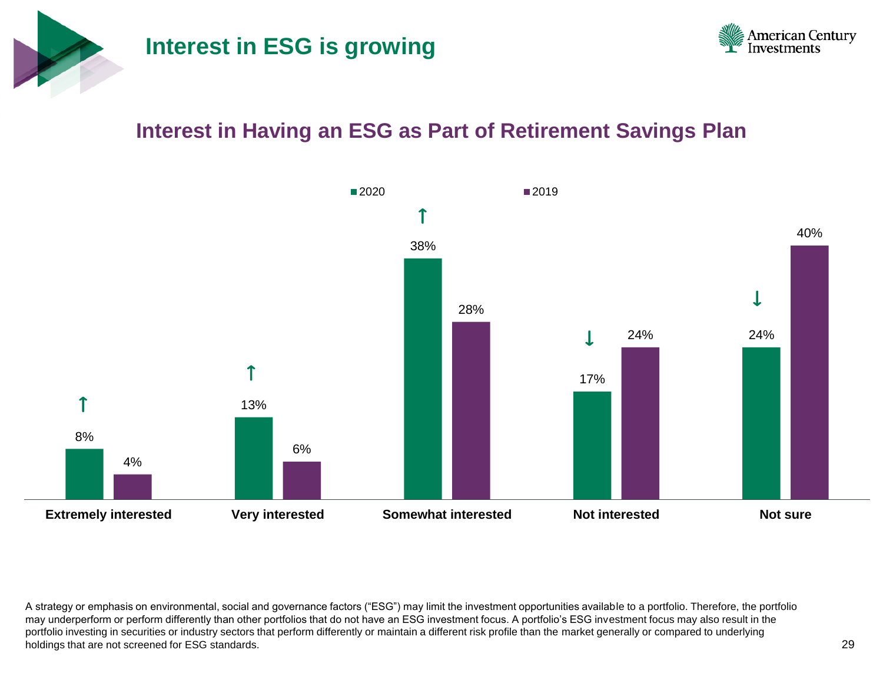



#### **Interest in Having an ESG as Part of Retirement Savings Plan**



A strategy or emphasis on environmental, social and governance factors ("ESG") may limit the investment opportunities available to a portfolio. Therefore, the portfolio may underperform or perform differently than other portfolios that do not have an ESG investment focus. A portfolio's ESG investment focus may also result in the portfolio investing in securities or industry sectors that perform differently or maintain a different risk profile than the market generally or compared to underlying holdings that are not screened for ESG standards.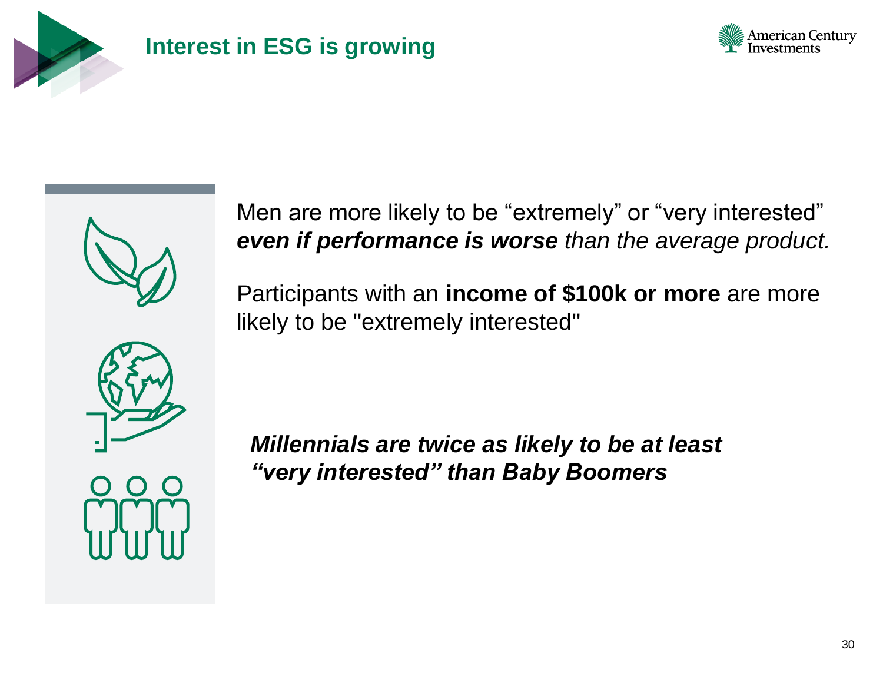

#### **Interest in ESG is growing**



Men are more likely to be "extremely" or "very interested" *even if performance is worse than the average product.*

Participants with an **income of \$100k or more** are more likely to be "extremely interested"



illennials are twice as likely to be at least<br>The single side of the side of the sery interested" than Baby Boomers<br>Note of the side of the same control of the same of the same of the same of the same of the same of the sa *Millennials are twice as likely to be at least "very interested" than Baby Boomers*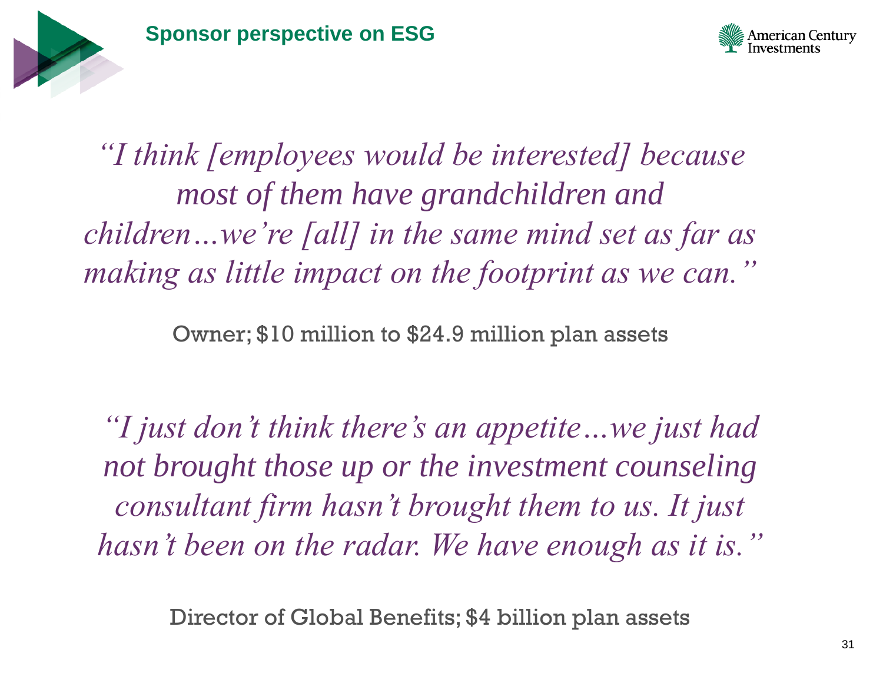



*"I think [employees would be interested] because most of them have grandchildren and children…we're [all] in the same mind set as far as making as little impact on the footprint as we can."* 

Owner; \$10 million to \$24.9 million plan assets

*"I just don't think there's an appetite…we just had not brought those up or the investment counseling consultant firm hasn't brought them to us. It just hasn't been on the radar. We have enough as it is."* 

Director of Global Benefits; \$4 billion plan assets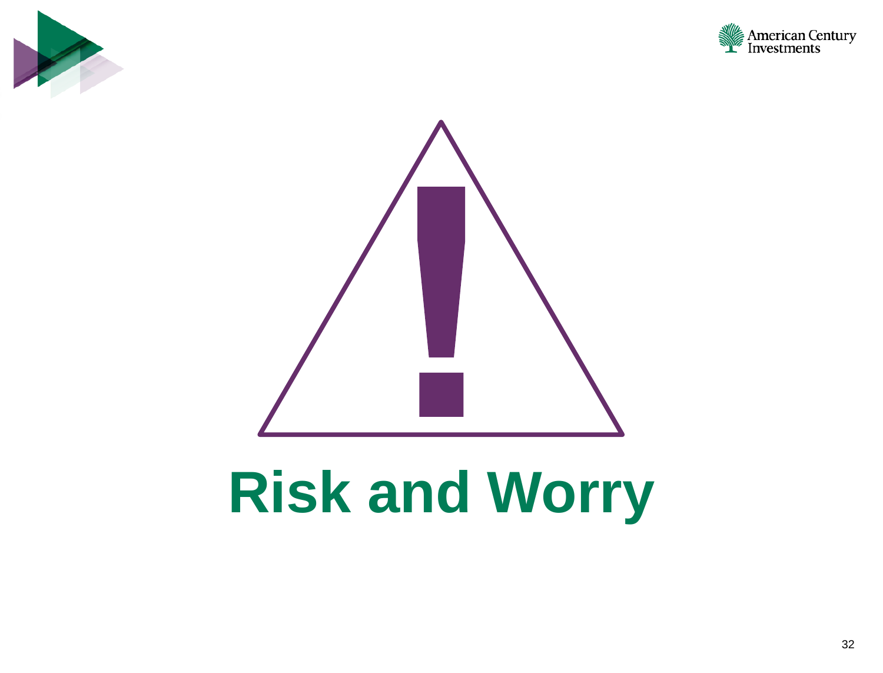





### **Risk and Worry**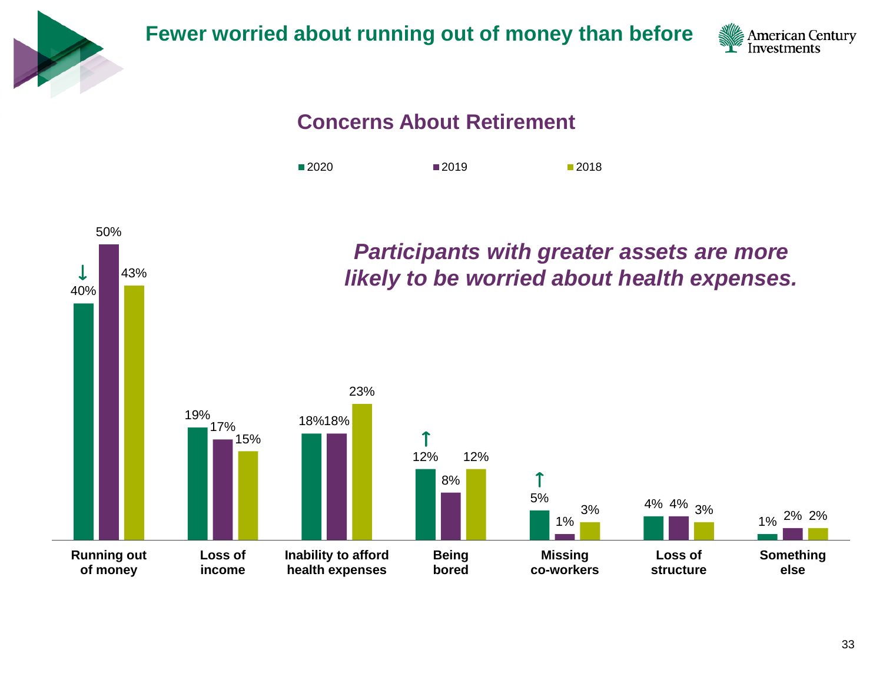

**Fewer worried about running out of money than before**



#### **Concerns About Retirement**



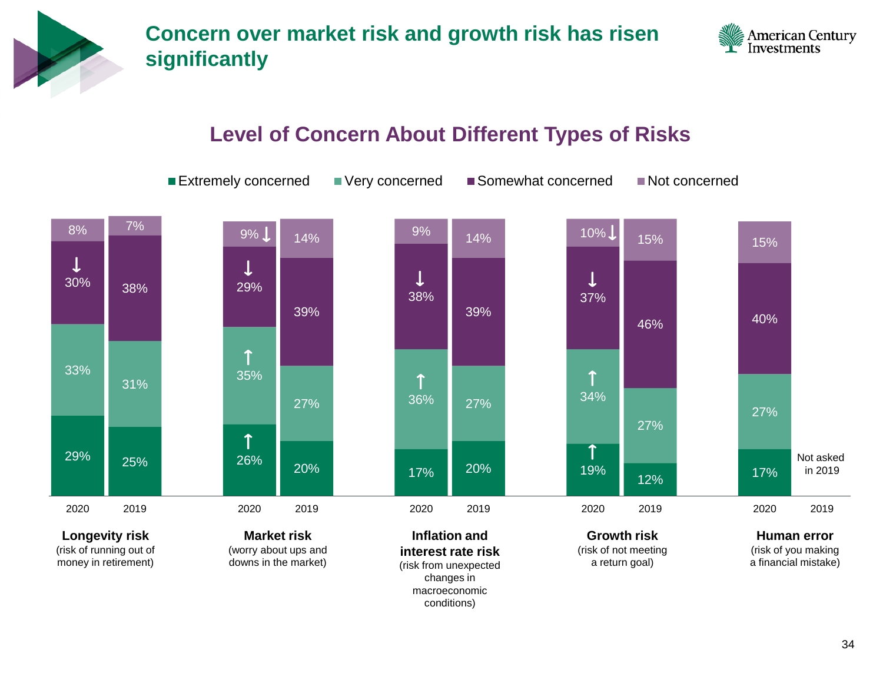



#### **Level of Concern About Different Types of Risks**

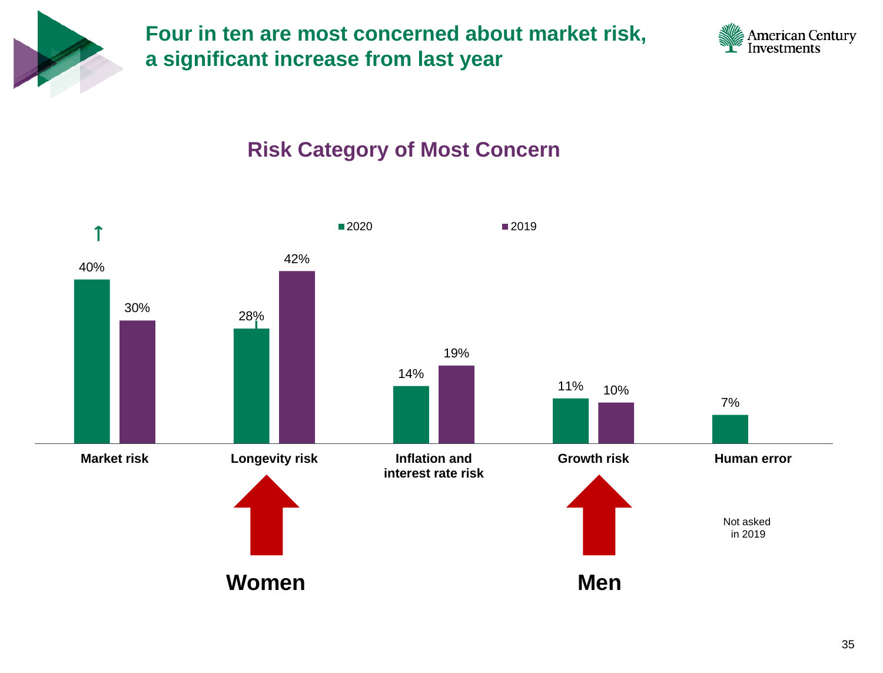

**Four in ten are most concerned about market risk, a significant increase from last year**



#### **Risk Category of Most Concern**

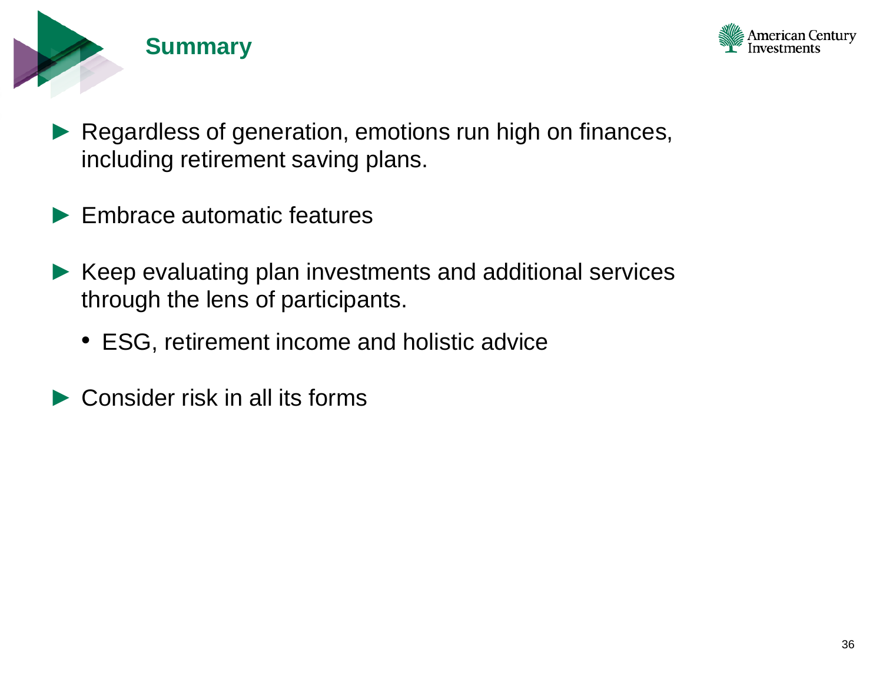



- Regardless of generation, emotions run high on finances, including retirement saving plans.
- Embrace automatic features
- ► Keep evaluating plan investments and additional services through the lens of participants.
	- ESG, retirement income and holistic advice
- Consider risk in all its forms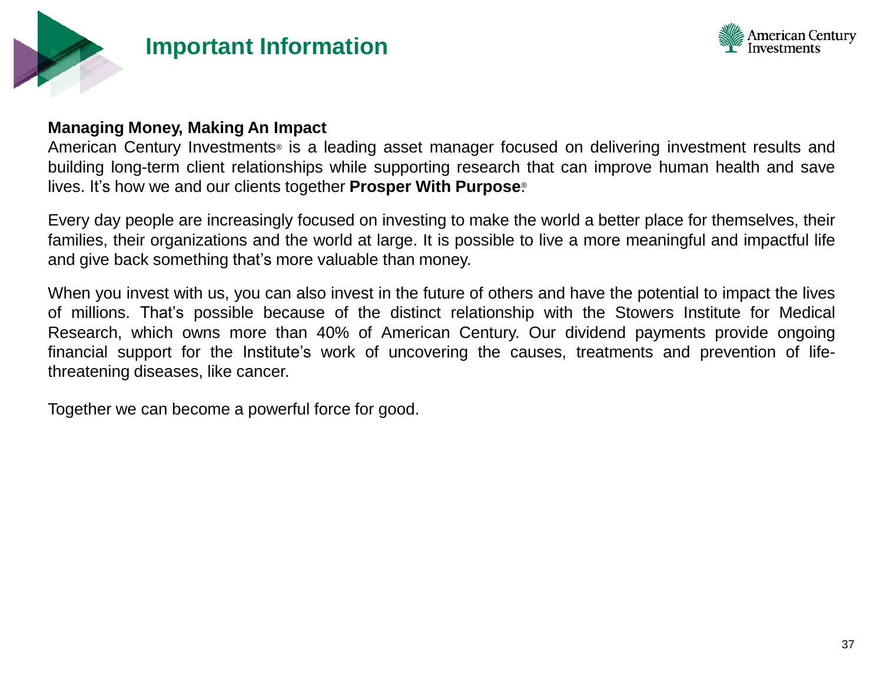

#### **Important Information**



#### **Managing Money, Making An Impact**

American Century Investments® is a leading asset manager focused on delivering investment results and building long-term client relationships while supporting research that can improve human health and save lives. It's how we and our clients together **Prosper With Purpose**. ®

Every day people are increasingly focused on investing to make the world a better place for themselves, their families, their organizations and the world at large. It is possible to live a more meaningful and impactful life and give back something that's more valuable than money.

When you invest with us, you can also invest in the future of others and have the potential to impact the lives of millions. That's possible because of the distinct relationship with the Stowers Institute for Medical Research, which owns more than 40% of American Century. Our dividend payments provide ongoing financial support for the Institute's work of uncovering the causes, treatments and prevention of lifethreatening diseases, like cancer.

Together we can become a powerful force for good.